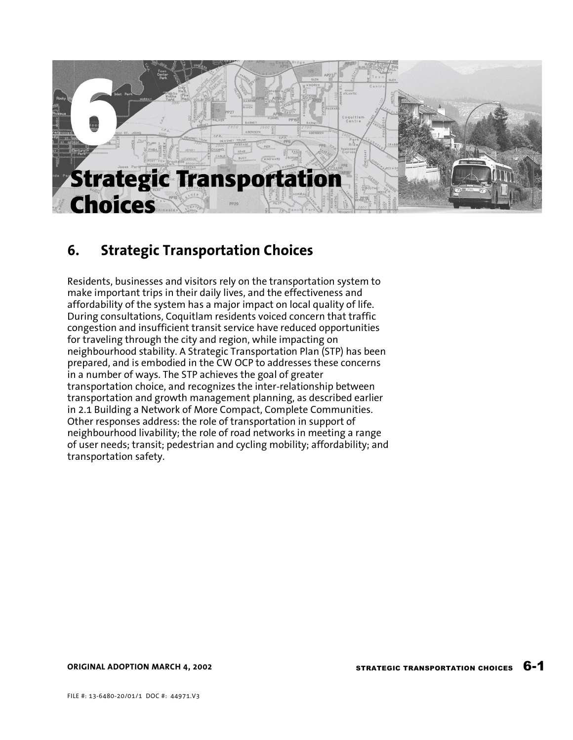

## 6. Strategic Transportation Choices

Residents, businesses and visitors rely on the transportation system to make important trips in their daily lives, and the effectiveness and affordability of the system has a major impact on local quality of life. During consultations, Coquitlam residents voiced concern that traffic congestion and insufficient transit service have reduced opportunities for traveling through the city and region, while impacting on neighbourhood stability. A Strategic Transportation Plan (STP) has been prepared, and is embodied in the CW OCP to addresses these concerns in a number of ways. The STP achieves the goal of greater transportation choice, and recognizes the inter-relationship between transportation and growth management planning, as described earlier in 2.1 Building a Network of More Compact, Complete Communities. Other responses address: the role of transportation in support of neighbourhood livability; the role of road networks in meeting a range of user needs; transit; pedestrian and cycling mobility; affordability; and transportation safety.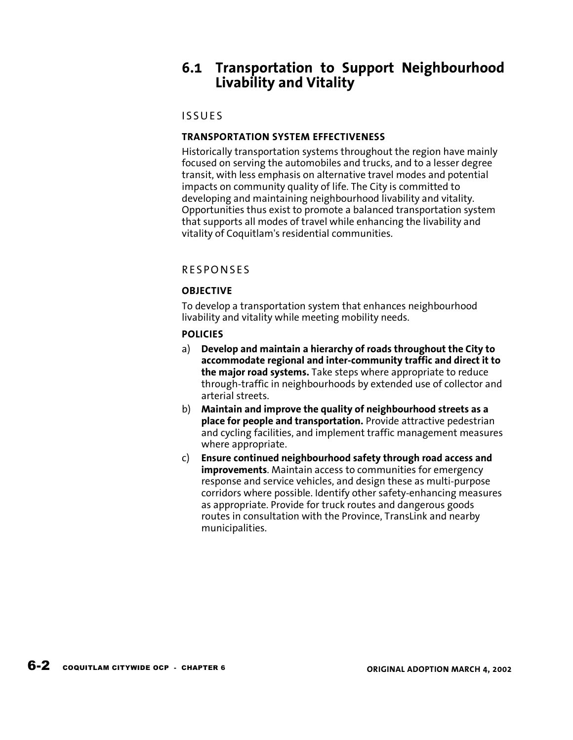## 6.1 Transportation to Support Neighbourhood Livability and Vitality

## **ISSUES**

## TRANSPORTATION SYSTEM EFFECTIVENESS

Historically transportation systems throughout the region have mainly focused on serving the automobiles and trucks, and to a lesser degree transit, with less emphasis on alternative travel modes and potential impacts on community quality of life. The City is committed to developing and maintaining neighbourhood livability and vitality. Opportunities thus exist to promote a balanced transportation system that supports all modes of travel while enhancing the livability and vitality of Coquitlam's residential communities.

## **RESPONSES**

## **OBJECTIVE**

To develop a transportation system that enhances neighbourhood livability and vitality while meeting mobility needs.

### POLICIES

- a) Develop and maintain a hierarchy of roads throughout the City to accommodate regional and inter-community traffic and direct it to the major road systems. Take steps where appropriate to reduce through-traffic in neighbourhoods by extended use of collector and arterial streets.
- b) Maintain and improve the quality of neighbourhood streets as a place for people and transportation. Provide attractive pedestrian and cycling facilities, and implement traffic management measures where appropriate.
- c) Ensure continued neighbourhood safety through road access and improvements. Maintain access to communities for emergency response and service vehicles, and design these as multi-purpose corridors where possible. Identify other safety-enhancing measures as appropriate. Provide for truck routes and dangerous goods routes in consultation with the Province, TransLink and nearby municipalities.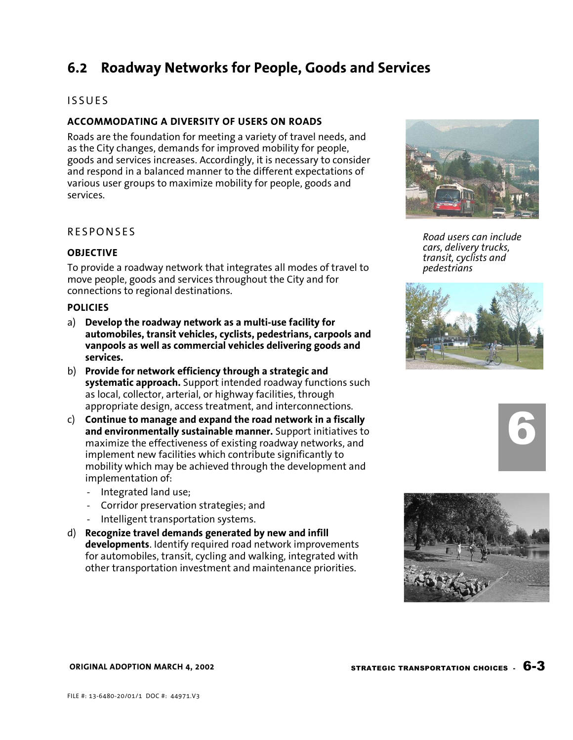## 6.2 Roadway Networks for People, Goods and Services

### **ISSUES**

### ACCOMMODATING A DIVERSITY OF USERS ON ROADS

Roads are the foundation for meeting a variety of travel needs, and as the City changes, demands for improved mobility for people, goods and services increases. Accordingly, it is necessary to consider and respond in a balanced manner to the different expectations of various user groups to maximize mobility for people, goods and services.

### **RESPONSES**

#### **OBJECTIVE**

To provide a roadway network that integrates all modes of travel to move people, goods and services throughout the City and for connections to regional destinations.

#### POLICIES

- a) Develop the roadway network as a multi-use facility for automobiles, transit vehicles, cyclists, pedestrians, carpools and vanpools as well as commercial vehicles delivering goods and services.
- b) Provide for network efficiency through a strategic and systematic approach. Support intended roadway functions such as local, collector, arterial, or highway facilities, through appropriate design, access treatment, and interconnections.
- c) Continue to manage and expand the road network in a fiscally and environmentally sustainable manner. Support initiatives to maximize the effectiveness of existing roadway networks, and implement new facilities which contribute significantly to mobility which may be achieved through the development and implementation of:
	- Integrated land use;
	- Corridor preservation strategies; and
	- Intelligent transportation systems.
- d) Recognize travel demands generated by new and infill developments. Identify required road network improvements for automobiles, transit, cycling and walking, integrated with other transportation investment and maintenance priorities.



Road users can include cars, delivery trucks, transit, cyclists and pedestrians







#### ORIGINAL ADOPTION MARCH 4, 2002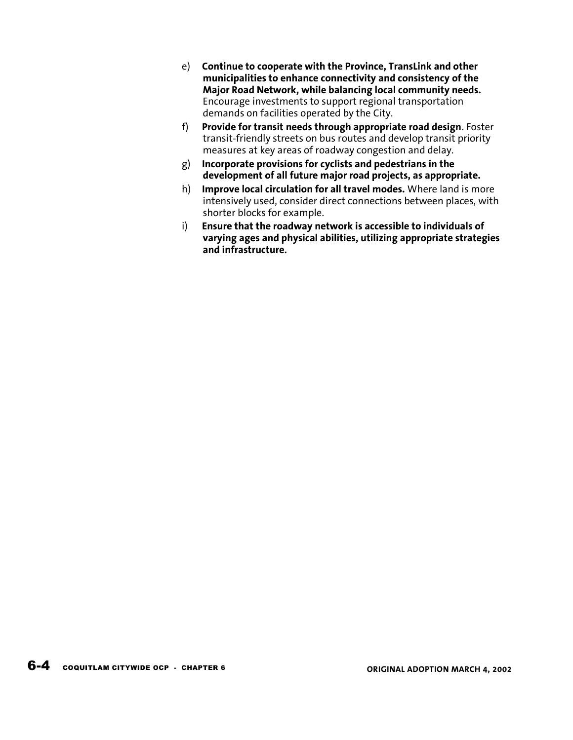- e) Continue to cooperate with the Province, TransLink and other municipalities to enhance connectivity and consistency of the Major Road Network, while balancing local community needs. Encourage investments to support regional transportation demands on facilities operated by the City.
- f) Provide for transit needs through appropriate road design. Foster transit-friendly streets on bus routes and develop transit priority measures at key areas of roadway congestion and delay.
- g) Incorporate provisions for cyclists and pedestrians in the development of all future major road projects, as appropriate.
- h) Improve local circulation for all travel modes. Where land is more intensively used, consider direct connections between places, with shorter blocks for example.
- i) Ensure that the roadway network is accessible to individuals of varying ages and physical abilities, utilizing appropriate strategies and infrastructure.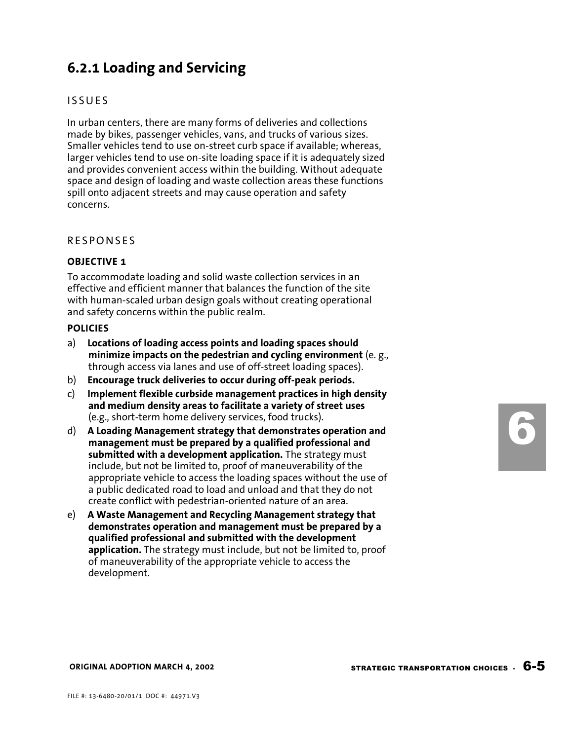## 6.2.1 Loading and Servicing

## **ISSUES**

In urban centers, there are many forms of deliveries and collections made by bikes, passenger vehicles, vans, and trucks of various sizes. Smaller vehicles tend to use on-street curb space if available; whereas, larger vehicles tend to use on-site loading space if it is adequately sized and provides convenient access within the building. Without adequate space and design of loading and waste collection areas these functions spill onto adjacent streets and may cause operation and safety concerns.

### **RESPONSES**

#### OBJECTIVE 1

To accommodate loading and solid waste collection services in an effective and efficient manner that balances the function of the site with human-scaled urban design goals without creating operational and safety concerns within the public realm.

#### POLICIES

- a) Locations of loading access points and loading spaces should minimize impacts on the pedestrian and cycling environment (e. g., through access via lanes and use of off-street loading spaces).
- b) Encourage truck deliveries to occur during off-peak periods.
- c) Implement flexible curbside management practices in high density and medium density areas to facilitate a variety of street uses (e.g., short-term home delivery services, food trucks).
- d) A Loading Management strategy that demonstrates operation and management must be prepared by a qualified professional and submitted with a development application. The strategy must include, but not be limited to, proof of maneuverability of the appropriate vehicle to access the loading spaces without the use of a public dedicated road to load and unload and that they do not create conflict with pedestrian-oriented nature of an area.
- e) A Waste Management and Recycling Management strategy that demonstrates operation and management must be prepared by a qualified professional and submitted with the development application. The strategy must include, but not be limited to, proof of maneuverability of the appropriate vehicle to access the development.

6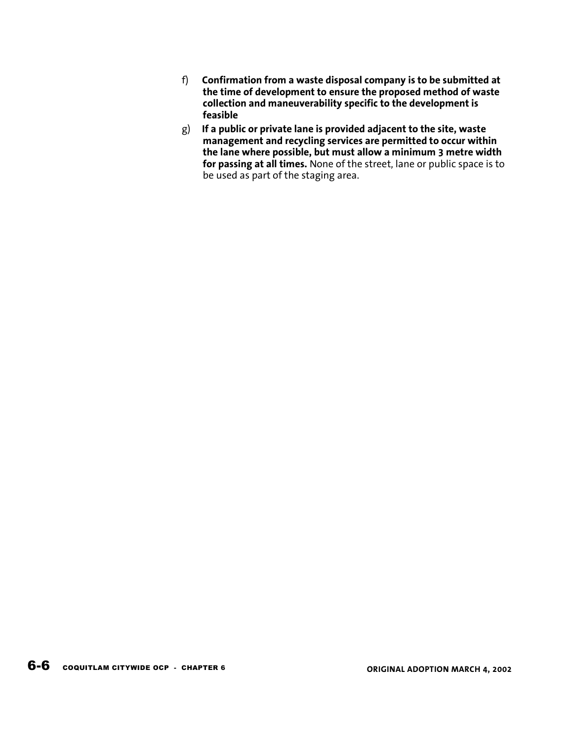- f) Confirmation from a waste disposal company is to be submitted at the time of development to ensure the proposed method of waste collection and maneuverability specific to the development is feasible
- $g$ ) If a public or private lane is provided adjacent to the site, waste management and recycling services are permitted to occur within the lane where possible, but must allow a minimum 3 metre width for passing at all times. None of the street, lane or public space is to be used as part of the staging area.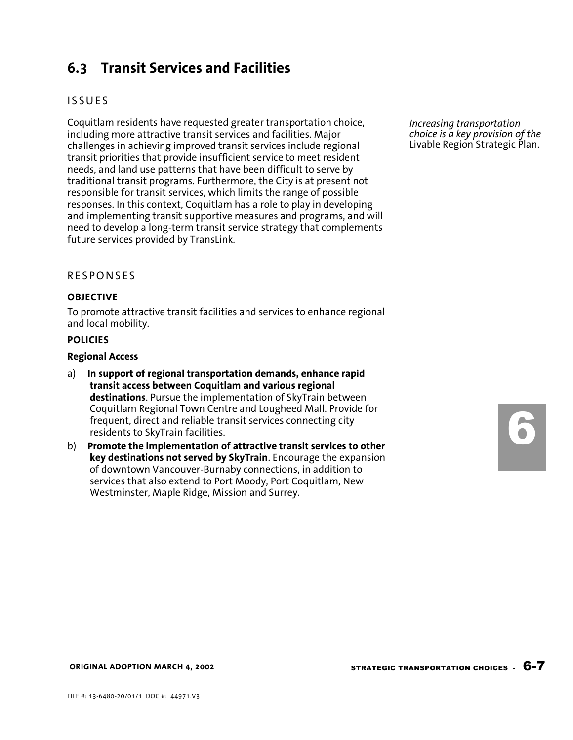## 6.3 Transit Services and Facilities

## **ISSUES**

Coquitlam residents have requested greater transportation choice, including more attractive transit services and facilities. Major challenges in achieving improved transit services include regional transit priorities that provide insufficient service to meet resident needs, and land use patterns that have been difficult to serve by traditional transit programs. Furthermore, the City is at present not responsible for transit services, which limits the range of possible responses. In this context, Coquitlam has a role to play in developing and implementing transit supportive measures and programs, and will need to develop a long-term transit service strategy that complements future services provided by TransLink.

#### **RESPONSES**

#### OBJECTIVE

To promote attractive transit facilities and services to enhance regional and local mobility.

#### POLICIES

#### Regional Access

- a) In support of regional transportation demands, enhance rapid transit access between Coquitlam and various regional destinations. Pursue the implementation of SkyTrain between Coquitlam Regional Town Centre and Lougheed Mall. Provide for frequent, direct and reliable transit services connecting city residents to SkyTrain facilities.
- b) Promote the implementation of attractive transit services to other key destinations not served by SkyTrain. Encourage the expansion of downtown Vancouver-Burnaby connections, in addition to services that also extend to Port Moody, Port Coquitlam, New Westminster, Maple Ridge, Mission and Surrey.

Increasing transportation choice is a key provision of the Livable Region Strategic Plan.

6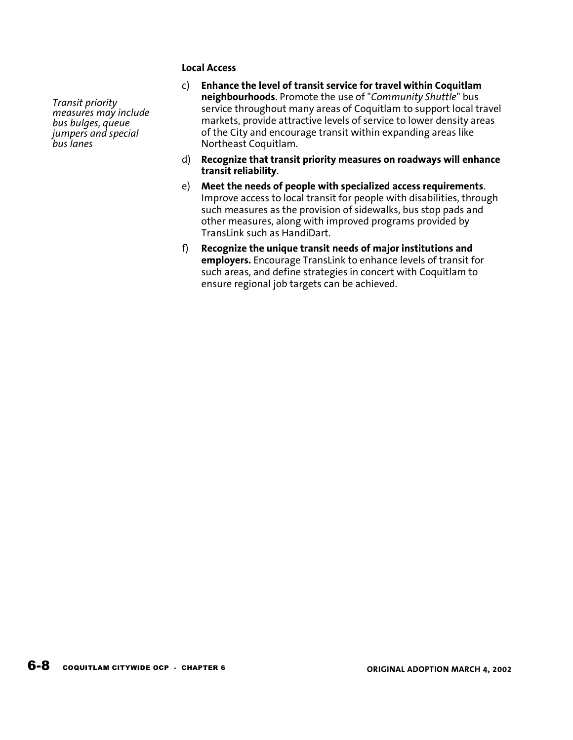### Local Access

- c) Enhance the level of transit service for travel within Coquitlam neighbourhoods. Promote the use of "Community Shuttle" bus service throughout many areas of Coquitlam to support local travel markets, provide attractive levels of service to lower density areas of the City and encourage transit within expanding areas like Northeast Coquitlam.
- d) Recognize that transit priority measures on roadways will enhance transit reliability.
- e) Meet the needs of people with specialized access requirements. Improve access to local transit for people with disabilities, through such measures as the provision of sidewalks, bus stop pads and other measures, along with improved programs provided by TransLink such as HandiDart.
- f) Recognize the unique transit needs of major institutions and employers. Encourage TransLink to enhance levels of transit for such areas, and define strategies in concert with Coquitlam to ensure regional job targets can be achieved.

Transit priority measures may include bus bulges, queue jumpers and special bus lanes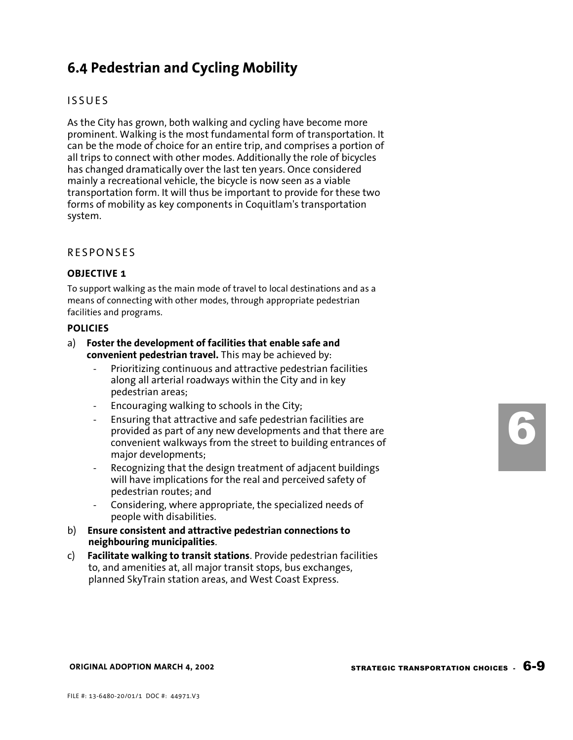# 6.4 Pedestrian and Cycling Mobility

## **ISSUES**

As the City has grown, both walking and cycling have become more prominent. Walking is the most fundamental form of transportation. It can be the mode of choice for an entire trip, and comprises a portion of all trips to connect with other modes. Additionally the role of bicycles has changed dramatically over the last ten years. Once considered mainly a recreational vehicle, the bicycle is now seen as a viable transportation form. It will thus be important to provide for these two forms of mobility as key components in Coquitlam's transportation system.

### **RESPONSES**

#### OBJECTIVE 1

To support walking as the main mode of travel to local destinations and as a means of connecting with other modes, through appropriate pedestrian facilities and programs.

#### POLICIES

- a) Foster the development of facilities that enable safe and convenient pedestrian travel. This may be achieved by:
	- Prioritizing continuous and attractive pedestrian facilities along all arterial roadways within the City and in key pedestrian areas;
	- Encouraging walking to schools in the City;
	- Ensuring that attractive and safe pedestrian facilities are provided as part of any new developments and that there are convenient walkways from the street to building entrances of major developments;
	- Recognizing that the design treatment of adjacent buildings will have implications for the real and perceived safety of pedestrian routes; and
	- Considering, where appropriate, the specialized needs of people with disabilities.
- b) Ensure consistent and attractive pedestrian connections to neighbouring municipalities.
- c) Facilitate walking to transit stations. Provide pedestrian facilities to, and amenities at, all major transit stops, bus exchanges, planned SkyTrain station areas, and West Coast Express.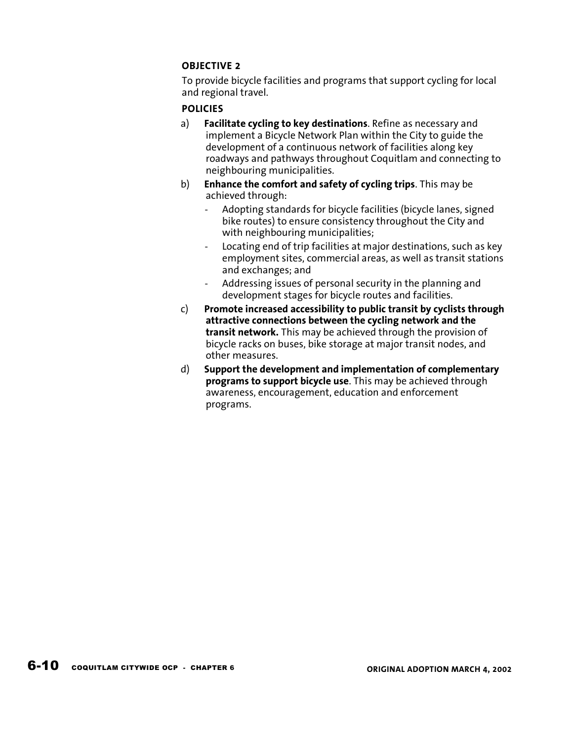## OBJECTIVE 2

To provide bicycle facilities and programs that support cycling for local and regional travel.

### POLICIES

- a) Facilitate cycling to key destinations. Refine as necessary and implement a Bicycle Network Plan within the City to guide the development of a continuous network of facilities along key roadways and pathways throughout Coquitlam and connecting to neighbouring municipalities.
- b) Enhance the comfort and safety of cycling trips. This may be achieved through:
	- Adopting standards for bicycle facilities (bicycle lanes, signed bike routes) to ensure consistency throughout the City and with neighbouring municipalities;
	- Locating end of trip facilities at major destinations, such as key employment sites, commercial areas, as well as transit stations and exchanges; and
	- Addressing issues of personal security in the planning and development stages for bicycle routes and facilities.
- c) Promote increased accessibility to public transit by cyclists through attractive connections between the cycling network and the transit network. This may be achieved through the provision of bicycle racks on buses, bike storage at major transit nodes, and other measures.
- d) Support the development and implementation of complementary programs to support bicycle use. This may be achieved through awareness, encouragement, education and enforcement programs.